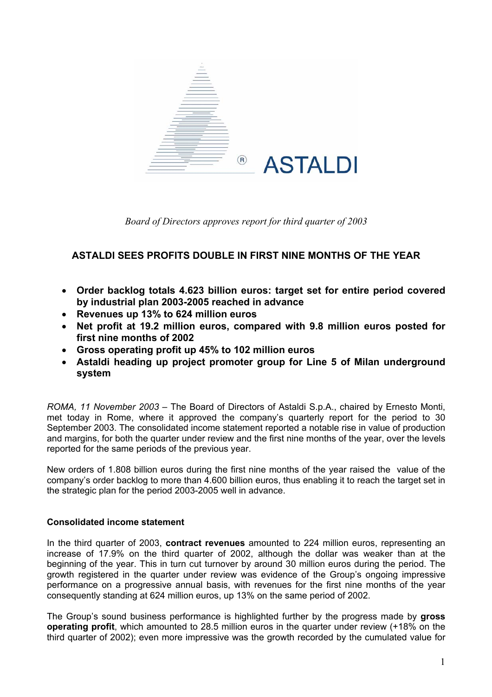

*Board of Directors approves report for third quarter of 2003* 

### **ASTALDI SEES PROFITS DOUBLE IN FIRST NINE MONTHS OF THE YEAR**

- **Order backlog totals 4.623 billion euros: target set for entire period covered by industrial plan 2003-2005 reached in advance**
- **Revenues up 13% to 624 million euros**
- **Net profit at 19.2 million euros, compared with 9.8 million euros posted for first nine months of 2002**
- **Gross operating profit up 45% to 102 million euros**
- **Astaldi heading up project promoter group for Line 5 of Milan underground system**

*ROMA, 11 November 2003 –* The Board of Directors of Astaldi S.p.A., chaired by Ernesto Monti, met today in Rome, where it approved the company's quarterly report for the period to 30 September 2003. The consolidated income statement reported a notable rise in value of production and margins, for both the quarter under review and the first nine months of the year, over the levels reported for the same periods of the previous year.

New orders of 1.808 billion euros during the first nine months of the year raised the value of the company's order backlog to more than 4.600 billion euros, thus enabling it to reach the target set in the strategic plan for the period 2003-2005 well in advance.

### **Consolidated income statement**

In the third quarter of 2003, **contract revenues** amounted to 224 million euros, representing an increase of 17.9% on the third quarter of 2002, although the dollar was weaker than at the beginning of the year. This in turn cut turnover by around 30 million euros during the period. The growth registered in the quarter under review was evidence of the Group's ongoing impressive performance on a progressive annual basis, with revenues for the first nine months of the year consequently standing at 624 million euros, up 13% on the same period of 2002.

The Group's sound business performance is highlighted further by the progress made by **gross operating profit**, which amounted to 28.5 million euros in the quarter under review (+18% on the third quarter of 2002); even more impressive was the growth recorded by the cumulated value for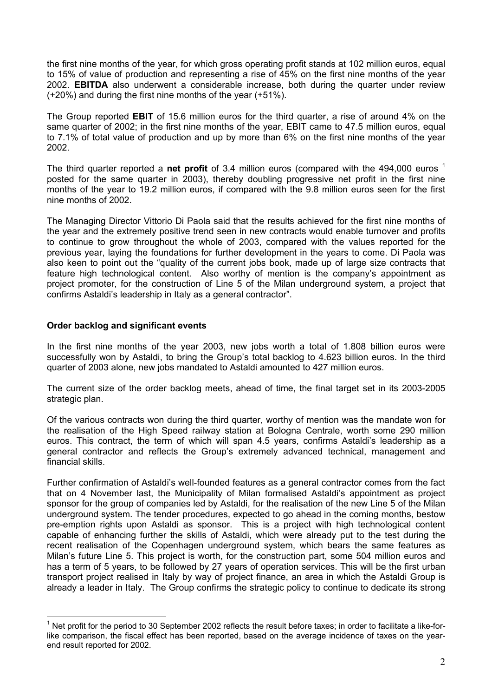the first nine months of the year, for which gross operating profit stands at 102 million euros, equal to 15% of value of production and representing a rise of 45% on the first nine months of the year 2002. **EBITDA** also underwent a considerable increase, both during the quarter under review (+20%) and during the first nine months of the year (+51%).

The Group reported **EBIT** of 15.6 million euros for the third quarter, a rise of around 4% on the same quarter of 2002; in the first nine months of the year, EBIT came to 47.5 million euros, equal to 7.1% of total value of production and up by more than 6% on the first nine months of the year 2002.

The third quarter reported a **net profit** of 3.4 million euros (compared with the 494,000 euros <sup>[1](#page-1-0)</sup> posted for the same quarter in 2003), thereby doubling progressive net profit in the first nine months of the year to 19.2 million euros, if compared with the 9.8 million euros seen for the first nine months of 2002.

The Managing Director Vittorio Di Paola said that the results achieved for the first nine months of the year and the extremely positive trend seen in new contracts would enable turnover and profits to continue to grow throughout the whole of 2003, compared with the values reported for the previous year, laying the foundations for further development in the years to come. Di Paola was also keen to point out the "quality of the current jobs book, made up of large size contracts that feature high technological content. Also worthy of mention is the company's appointment as project promoter, for the construction of Line 5 of the Milan underground system, a project that confirms Astaldi's leadership in Italy as a general contractor".

#### **Order backlog and significant events**

 $\overline{a}$ 

In the first nine months of the year 2003, new jobs worth a total of 1.808 billion euros were successfully won by Astaldi, to bring the Group's total backlog to 4.623 billion euros. In the third quarter of 2003 alone, new jobs mandated to Astaldi amounted to 427 million euros.

The current size of the order backlog meets, ahead of time, the final target set in its 2003-2005 strategic plan.

Of the various contracts won during the third quarter, worthy of mention was the mandate won for the realisation of the High Speed railway station at Bologna Centrale, worth some 290 million euros. This contract, the term of which will span 4.5 years, confirms Astaldi's leadership as a general contractor and reflects the Group's extremely advanced technical, management and financial skills.

Further confirmation of Astaldi's well-founded features as a general contractor comes from the fact that on 4 November last, the Municipality of Milan formalised Astaldi's appointment as project sponsor for the group of companies led by Astaldi, for the realisation of the new Line 5 of the Milan underground system. The tender procedures, expected to go ahead in the coming months, bestow pre-emption rights upon Astaldi as sponsor. This is a project with high technological content capable of enhancing further the skills of Astaldi, which were already put to the test during the recent realisation of the Copenhagen underground system, which bears the same features as Milan's future Line 5. This project is worth, for the construction part, some 504 million euros and has a term of 5 years, to be followed by 27 years of operation services. This will be the first urban transport project realised in Italy by way of project finance, an area in which the Astaldi Group is already a leader in Italy. The Group confirms the strategic policy to continue to dedicate its strong

<span id="page-1-0"></span> $1$  Net profit for the period to 30 September 2002 reflects the result before taxes; in order to facilitate a like-forlike comparison, the fiscal effect has been reported, based on the average incidence of taxes on the yearend result reported for 2002.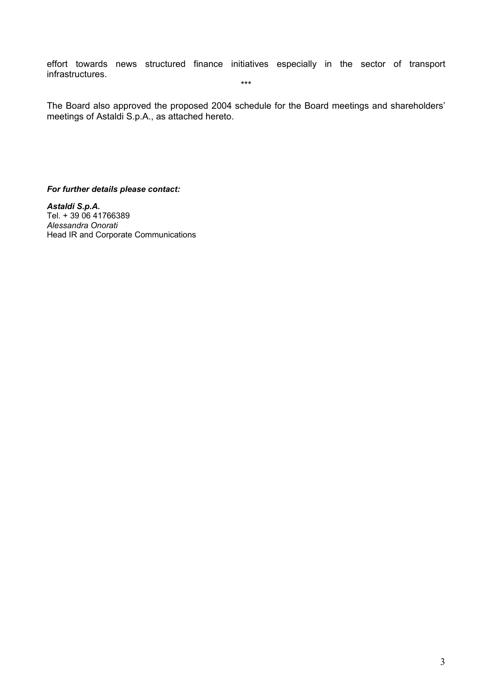effort towards news structured finance initiatives especially in the sector of transport infrastructures. \*\*\*

The Board also approved the proposed 2004 schedule for the Board meetings and shareholders' meetings of Astaldi S.p.A., as attached hereto.

*For further details please contact:* 

*Astaldi S.p.A.*  Tel. + 39 06 41766389 *Alessandra Onorati* Head IR and Corporate Communications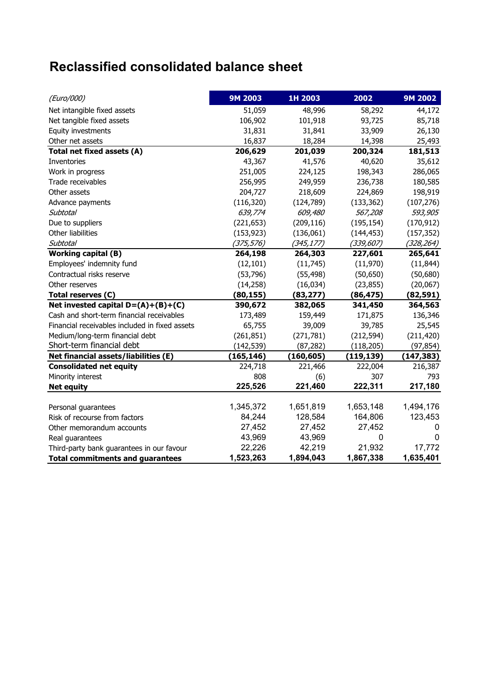# **Reclassified consolidated balance sheet**

| (Euro/000)                                     | 9M 2003    | 1H 2003    | 2002        | 9M 2002     |
|------------------------------------------------|------------|------------|-------------|-------------|
| Net intangible fixed assets                    | 51,059     | 48,996     | 58,292      | 44,172      |
| Net tangible fixed assets                      | 106,902    | 101,918    | 93,725      | 85,718      |
| Equity investments                             | 31,831     | 31,841     | 33,909      | 26,130      |
| Other net assets                               | 16,837     | 18,284     | 14,398      | 25,493      |
| Total net fixed assets (A)                     | 206,629    | 201,039    | 200,324     | 181,513     |
| <b>Inventories</b>                             | 43,367     | 41,576     | 40,620      | 35,612      |
| Work in progress                               | 251,005    | 224,125    | 198,343     | 286,065     |
| Trade receivables                              | 256,995    | 249,959    | 236,738     | 180,585     |
| Other assets                                   | 204,727    | 218,609    | 224,869     | 198,919     |
| Advance payments                               | (116, 320) | (124, 789) | (133, 362)  | (107, 276)  |
| <b>Subtotal</b>                                | 639,774    | 609,480    | 567,208     | 593,905     |
| Due to suppliers                               | (221, 653) | (209, 116) | (195, 154)  | (170, 912)  |
| Other liabilities                              | (153, 923) | (136,061)  | (144, 453)  | (157, 352)  |
| <b>Subtotal</b>                                | (375, 576) | (345, 177) | (339, 607)  | (328, 264)  |
| <b>Working capital (B)</b>                     | 264,198    | 264,303    | 227,601     | 265,641     |
| Employees' indemnity fund                      | (12, 101)  | (11, 745)  | (11,970)    | (11, 844)   |
| Contractual risks reserve                      | (53, 796)  | (55, 498)  | (50, 650)   | (50,680)    |
| Other reserves                                 | (14, 258)  | (16, 034)  | (23, 855)   | (20,067)    |
| Total reserves (C)                             | (80, 155)  | (83, 277)  | (86, 475)   | (82, 591)   |
| Net invested capital $D=(A)+(B)+(C)$           | 390,672    | 382,065    | 341,450     | 364,563     |
| Cash and short-term financial receivables      | 173,489    | 159,449    | 171,875     | 136,346     |
| Financial receivables included in fixed assets | 65,755     | 39,009     | 39,785      | 25,545      |
| Medium/long-term financial debt                | (261, 851) | (271, 781) | (212, 594)  | (211, 420)  |
| Short-term financial debt                      | (142, 539) | (87, 282)  | (118, 205)  | (97, 854)   |
| Net financial assets/liabilities (E)           | (165, 146) | (160, 605) | (119, 139)  | (147, 383)  |
| <b>Consolidated net equity</b>                 | 224,718    | 221,466    | 222,004     | 216,387     |
| Minority interest                              | 808        | (6)        | 307         | 793         |
| <b>Net equity</b>                              | 225,526    | 221,460    | 222,311     | 217,180     |
|                                                |            |            |             |             |
| Personal guarantees                            | 1,345,372  | 1,651,819  | 1,653,148   | 1,494,176   |
| Risk of recourse from factors                  | 84,244     | 128,584    | 164,806     | 123,453     |
| Other memorandum accounts                      | 27,452     | 27,452     | 27,452      | 0           |
| Real guarantees                                | 43,969     | 43,969     | $\mathbf 0$ | $\mathbf 0$ |
| Third-party bank guarantees in our favour      | 22,226     | 42,219     | 21,932      | 17,772      |
| <b>Total commitments and guarantees</b>        | 1,523,263  | 1,894,043  | 1,867,338   | 1,635,401   |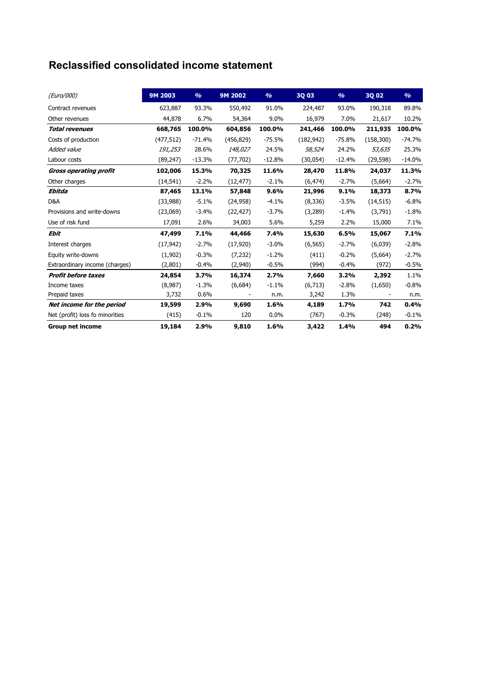### **Reclassified consolidated income statement**

| (Euro/000)                      | 9M 2003    | $\frac{9}{6}$ | 9M 2002    | $\frac{9}{6}$ | 3Q 03      | $\frac{9}{6}$ | 3Q 02      | $\frac{9}{6}$ |
|---------------------------------|------------|---------------|------------|---------------|------------|---------------|------------|---------------|
| Contract revenues               | 623,887    | 93.3%         | 550,492    | 91.0%         | 224,487    | 93.0%         | 190,318    | 89.8%         |
| Other revenues                  | 44,878     | 6.7%          | 54,364     | 9.0%          | 16,979     | 7.0%          | 21,617     | 10.2%         |
| <b>Total revenues</b>           | 668,765    | 100.0%        | 604,856    | 100.0%        | 241,466    | 100.0%        | 211,935    | 100.0%        |
| Costs of production             | (477, 512) | $-71.4%$      | (456, 829) | $-75.5%$      | (182, 942) | -75.8%        | (158, 300) | $-74.7%$      |
| Added value                     | 191,253    | 28.6%         | 148,027    | 24.5%         | 58,524     | 24.2%         | 53,635     | 25.3%         |
| Labour costs                    | (89, 247)  | $-13.3%$      | (77, 702)  | $-12.8%$      | (30,054)   | $-12.4%$      | (29, 598)  | $-14.0%$      |
| <b>Gross operating profit</b>   | 102,006    | 15.3%         | 70,325     | 11.6%         | 28,470     | 11.8%         | 24,037     | 11.3%         |
| Other charges                   | (14, 541)  | $-2.2%$       | (12, 477)  | $-2.1%$       | (6, 474)   | $-2.7%$       | (5,664)    | $-2.7%$       |
| Ebitda                          | 87,465     | 13.1%         | 57,848     | 9.6%          | 21,996     | 9.1%          | 18,373     | 8.7%          |
| D&A                             | (33,988)   | $-5.1%$       | (24, 958)  | $-4.1%$       | (8, 336)   | $-3.5%$       | (14, 515)  | $-6.8%$       |
| Provisions and write-downs      | (23,069)   | $-3.4%$       | (22, 427)  | $-3.7%$       | (3,289)    | $-1.4%$       | (3,791)    | $-1.8%$       |
| Use of risk fund                | 17,091     | 2.6%          | 34,003     | 5.6%          | 5,259      | 2.2%          | 15,000     | 7.1%          |
| <b>Ebit</b>                     | 47,499     | 7.1%          | 44,466     | 7.4%          | 15,630     | 6.5%          | 15,067     | 7.1%          |
| Interest charges                | (17, 942)  | $-2.7%$       | (17, 920)  | $-3.0%$       | (6, 565)   | $-2.7%$       | (6,039)    | $-2.8%$       |
| Equity write-downs              | (1,902)    | $-0.3%$       | (7, 232)   | $-1.2%$       | (411)      | $-0.2%$       | (5,664)    | $-2.7%$       |
| Extraordinary income (charges)  | (2,801)    | $-0.4%$       | (2,940)    | $-0.5%$       | (994)      | $-0.4%$       | (972)      | $-0.5%$       |
| <b>Profit before taxes</b>      | 24,854     | 3.7%          | 16,374     | 2.7%          | 7,660      | 3.2%          | 2,392      | 1.1%          |
| Income taxes                    | (8,987)    | $-1.3%$       | (6,684)    | $-1.1%$       | (6,713)    | $-2.8%$       | (1,650)    | $-0.8%$       |
| Prepaid taxes                   | 3,732      | 0.6%          |            | n.m.          | 3,242      | 1.3%          | ÷,         | n.m.          |
| Net income for the period       | 19,599     | 2.9%          | 9,690      | 1.6%          | 4,189      | 1.7%          | 742        | 0.4%          |
| Net (profit) loss fo minorities | (415)      | $-0.1%$       | 120        | $0.0\%$       | (767)      | $-0.3%$       | (248)      | $-0.1%$       |
| <b>Group net income</b>         | 19,184     | 2.9%          | 9,810      | 1.6%          | 3,422      | 1.4%          | 494        | 0.2%          |